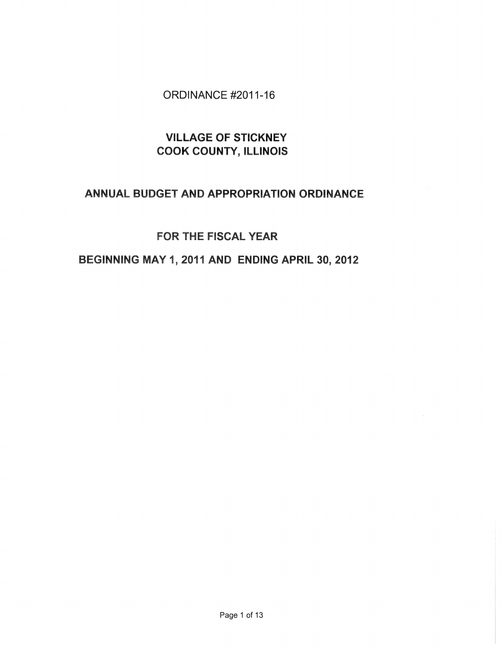# ORDINANCE #2011-16

# VILLAGE OF STICKNEY COOK COUNTY, ILLINOIS

# ANNUAL BUDGET AND APPROPRIATION ORDINANCE

# FOR THE FISCAL YEAR

# BEGINNING MAY 1, 2011 AND ENDING APRIL 30,2012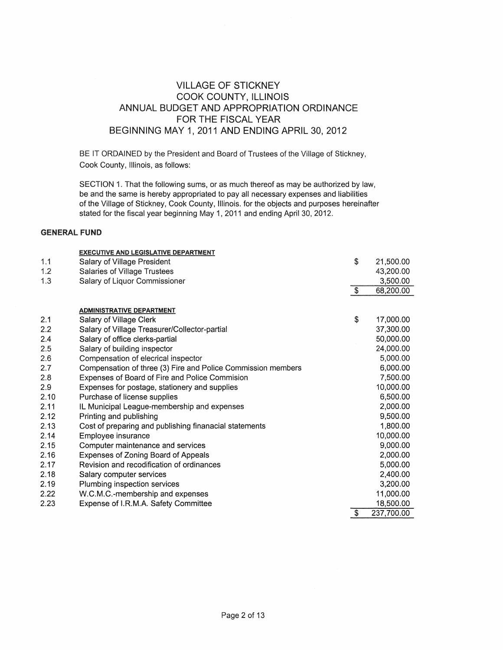# VILLAGE OF STICKNEY COOK COUNTY, ILUNOIS ANNUAL BUDGET AND APPROPRIATION ORDINANCE FOR THE FISCAL YEAR BEGINNING MAY 1, 2011 AND ENDING APRIL 30, 2012

BE IT ORDAINED by the President and Board of Trustees of the Village of Stickney, Cook County, Illinois, as follows:

SECTION 1. That the following sums, or as much thereof as may be authorized by law, be and the same is hereby appropriated to pay all necessary expenses and liabilities of the Village of Stickney, Cook County, Illinois. for the objects and purposes hereinafter stated for the fiscal year beginning May 1, 2011 and ending April 30, 2012.

#### GENERAL FUND

|      | <b>EXECUTIVE AND LEGISLATIVE DEPARTMENT</b>                  |                          |            |
|------|--------------------------------------------------------------|--------------------------|------------|
| 1.1  | Salary of Village President                                  | \$                       | 21,500.00  |
| 1.2  | Salaries of Village Trustees                                 |                          | 43,200.00  |
| 1.3  | Salary of Liquor Commissioner                                |                          | 3,500.00   |
|      |                                                              | $\overline{\mathcal{S}}$ | 68,200.00  |
|      |                                                              |                          |            |
|      | <b>ADMINISTRATIVE DEPARTMENT</b>                             |                          |            |
| 2.1  | Salary of Village Clerk                                      | \$                       | 17,000.00  |
| 2.2  | Salary of Village Treasurer/Collector-partial                |                          | 37,300.00  |
| 2.4  | Salary of office clerks-partial                              |                          | 50,000.00  |
| 2.5  | Salary of building inspector                                 |                          | 24,000.00  |
| 2.6  | Compensation of elecrical inspector                          |                          | 5,000.00   |
| 2.7  | Compensation of three (3) Fire and Police Commission members |                          | 6,000.00   |
| 2.8  | Expenses of Board of Fire and Police Commision               |                          | 7,500.00   |
| 2.9  | Expenses for postage, stationery and supplies                |                          | 10,000.00  |
| 2.10 | Purchase of license supplies                                 |                          | 6,500.00   |
| 2.11 | IL Municipal League-membership and expenses                  |                          | 2,000.00   |
| 2.12 | Printing and publishing                                      |                          | 9,500.00   |
| 2.13 | Cost of preparing and publishing finanacial statements       |                          | 1,800.00   |
| 2.14 | Employee insurance                                           |                          | 10,000.00  |
| 2.15 | Computer maintenance and services                            |                          | 9,000.00   |
| 2.16 | Expenses of Zoning Board of Appeals                          |                          | 2,000.00   |
| 2.17 | Revision and recodification of ordinances                    |                          | 5,000.00   |
| 2.18 | Salary computer services                                     |                          | 2,400.00   |
| 2.19 | Plumbing inspection services                                 |                          | 3,200.00   |
| 2.22 | W.C.M.C.-membership and expenses                             |                          | 11,000.00  |
| 2.23 | Expense of I.R.M.A. Safety Committee                         |                          | 18,500.00  |
|      |                                                              | $\overline{\$}$          | 237,700.00 |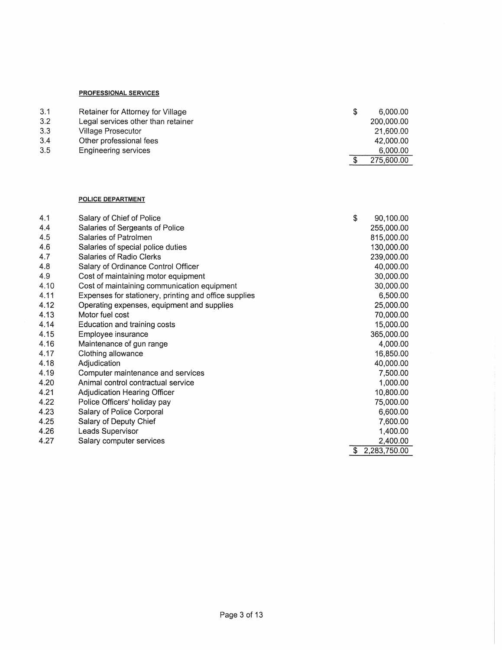## PROFESSIONAL SERVICES

| 3.1 | Retainer for Attorney for Village  | S | 6.000.00   |
|-----|------------------------------------|---|------------|
| 3.2 | Legal services other than retainer |   | 200,000.00 |
| 3.3 | Village Prosecutor                 |   | 21,600.00  |
| 3.4 | Other professional fees            |   | 42.000.00  |
| 3.5 | Engineering services               |   | 6,000.00   |
|     |                                    |   | 275,600.00 |

#### POLICE DEPARTMENT

| 4.1  | Salary of Chief of Police                             | \$ | 90,100.00    |
|------|-------------------------------------------------------|----|--------------|
| 4.4  | Salaries of Sergeants of Police                       |    | 255,000.00   |
| 4.5  | Salaries of Patrolmen                                 |    | 815,000.00   |
| 4.6  | Salaries of special police duties                     |    | 130,000.00   |
| 4.7  | Salaries of Radio Clerks                              |    | 239,000.00   |
| 4.8  | Salary of Ordinance Control Officer                   |    | 40,000.00    |
| 4.9  | Cost of maintaining motor equipment                   |    | 30,000.00    |
| 4.10 | Cost of maintaining communication equipment           |    | 30,000.00    |
| 4.11 | Expenses for stationery, printing and office supplies |    | 6,500.00     |
| 4.12 | Operating expenses, equipment and supplies            |    | 25,000.00    |
| 4.13 | Motor fuel cost                                       |    | 70,000.00    |
| 4.14 | Education and training costs                          |    | 15,000.00    |
| 4.15 | Employee insurance                                    |    | 365,000.00   |
| 4.16 | Maintenance of gun range                              |    | 4,000.00     |
| 4.17 | Clothing allowance                                    |    | 16,850.00    |
| 4.18 | Adjudication                                          |    | 40,000.00    |
| 4.19 | Computer maintenance and services                     |    | 7,500.00     |
| 4.20 | Animal control contractual service                    |    | 1,000.00     |
| 4.21 | Adjudication Hearing Officer                          |    | 10,800.00    |
| 4.22 | Police Officers' holiday pay                          |    | 75,000.00    |
| 4.23 | Salary of Police Corporal                             |    | 6,600.00     |
| 4.25 | Salary of Deputy Chief                                |    | 7,600.00     |
| 4.26 | Leads Supervisor                                      |    | 1,400.00     |
| 4.27 | Salary computer services                              |    | 2,400.00     |
|      |                                                       | S. | 2,283,750.00 |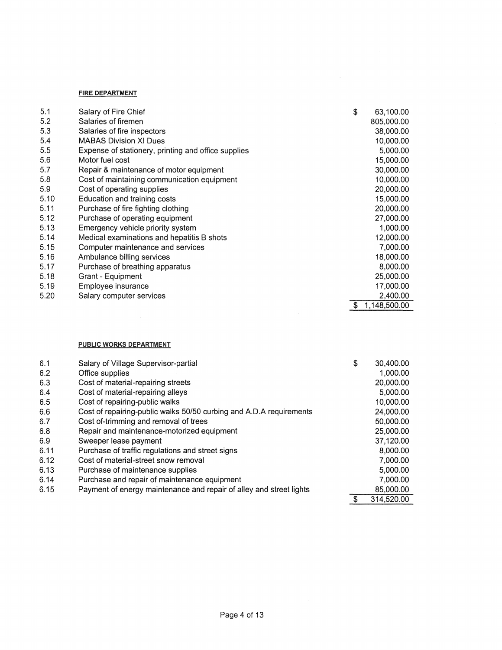### **FIRE DEPARTMENT**

| 5.1  | Salary of Fire Chief                                | \$ | 63,100.00    |
|------|-----------------------------------------------------|----|--------------|
| 5.2  | Salaries of firemen                                 |    | 805,000.00   |
| 5.3  | Salaries of fire inspectors                         |    | 38,000.00    |
| 5.4  | <b>MABAS Division XI Dues</b>                       |    | 10,000.00    |
| 5.5  | Expense of stationery, printing and office supplies |    | 5,000.00     |
| 5.6  | Motor fuel cost                                     |    | 15,000.00    |
| 5.7  | Repair & maintenance of motor equipment             |    | 30,000.00    |
| 5.8  | Cost of maintaining communication equipment         |    | 10,000.00    |
| 5.9  | Cost of operating supplies                          |    | 20,000.00    |
| 5.10 | Education and training costs                        |    | 15,000.00    |
| 5.11 | Purchase of fire fighting clothing                  |    | 20,000.00    |
| 5.12 | Purchase of operating equipment                     |    | 27,000.00    |
| 5.13 | Emergency vehicle priority system                   |    | 1,000.00     |
| 5.14 | Medical examinations and hepatitis B shots          |    | 12,000.00    |
| 5.15 | Computer maintenance and services                   |    | 7,000.00     |
| 5.16 | Ambulance billing services                          |    | 18,000.00    |
| 5.17 | Purchase of breathing apparatus                     |    | 8,000.00     |
| 5.18 | Grant - Equipment                                   |    | 25,000.00    |
| 5.19 | Employee insurance                                  |    | 17,000.00    |
| 5.20 | Salary computer services                            |    | 2,400.00     |
|      |                                                     | S  | 1,148,500.00 |

## **PUBLIC WORKS DEPARTMENT**

| 6.1  | Salary of Village Supervisor-partial                                | \$ | 30,400,00  |
|------|---------------------------------------------------------------------|----|------------|
| 6.2  | Office supplies                                                     |    | 1,000.00   |
| 6.3  | Cost of material-repairing streets                                  |    | 20,000.00  |
| 6.4  | Cost of material-repairing alleys                                   |    | 5,000.00   |
| 6.5  | Cost of repairing-public walks                                      |    | 10,000.00  |
| 6.6  | Cost of repairing-public walks 50/50 curbing and A.D.A requirements |    | 24,000.00  |
| 6.7  | Cost of-trimming and removal of trees                               |    | 50,000.00  |
| 6.8  | Repair and maintenance-motorized equipment                          |    | 25,000.00  |
| 6.9  | Sweeper lease payment                                               |    | 37,120.00  |
| 6.11 | Purchase of traffic regulations and street signs                    |    | 8,000.00   |
| 6.12 | Cost of material-street snow removal                                |    | 7,000.00   |
| 6.13 | Purchase of maintenance supplies                                    |    | 5,000.00   |
| 6.14 | Purchase and repair of maintenance equipment                        |    | 7,000.00   |
| 6.15 | Payment of energy maintenance and repair of alley and street lights |    | 85,000.00  |
|      |                                                                     | S  | 314,520.00 |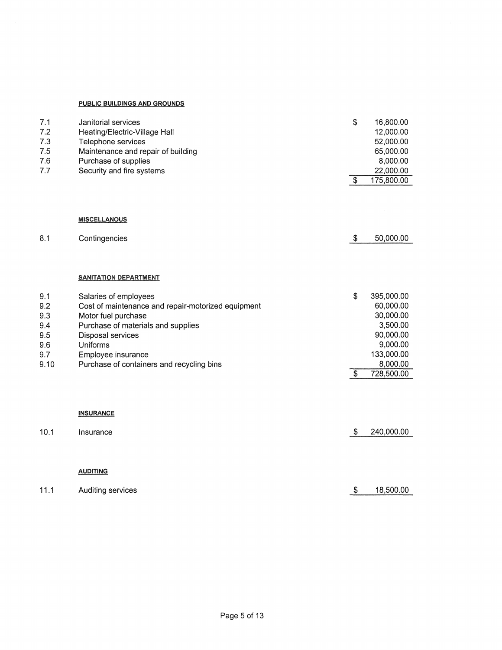#### **PUBLIC BUILDINGS AND GROUNDS**

| 7.1<br>7.2<br>7.3<br>7.5<br>7.6<br>7.7 | Janitorial services<br>Heating/Electric-Village Hall<br>Telephone services<br>Maintenance and repair of building<br>Purchase of supplies<br>Security and fire systems | \$<br>$\sqrt{3}$ | 16,800.00<br>12,000.00<br>52,000.00<br>65,000.00<br>8,000.00<br>22,000.00<br>175,800.00 |
|----------------------------------------|-----------------------------------------------------------------------------------------------------------------------------------------------------------------------|------------------|-----------------------------------------------------------------------------------------|
|                                        | <b>MISCELLANOUS</b>                                                                                                                                                   |                  |                                                                                         |
| 8.1                                    | Contingencies                                                                                                                                                         | $\mathcal{S}$    | 50,000.00                                                                               |
|                                        | <b>SANITATION DEPARTMENT</b>                                                                                                                                          |                  |                                                                                         |
| 9.1                                    | Salaries of employees                                                                                                                                                 | \$               | 395,000.00                                                                              |
| 9.2                                    | Cost of maintenance and repair-motorized equipment                                                                                                                    |                  | 60,000.00                                                                               |
| 9.3                                    | Motor fuel purchase                                                                                                                                                   |                  | 30,000.00                                                                               |
| 9.4                                    | Purchase of materials and supplies                                                                                                                                    |                  | 3,500.00                                                                                |
| 9.5                                    | Disposal services                                                                                                                                                     |                  | 90,000.00                                                                               |
| 9.6                                    | Uniforms                                                                                                                                                              |                  | 9,000.00                                                                                |
| 9.7<br>9.10                            | Employee insurance<br>Purchase of containers and recycling bins                                                                                                       |                  | 133,000.00<br>8,000.00                                                                  |
|                                        |                                                                                                                                                                       | $\sqrt{3}$       | 728,500.00                                                                              |
|                                        | <b>INSURANCE</b>                                                                                                                                                      |                  |                                                                                         |

| 10.1 | Insurance         | S | 240,000.00 |
|------|-------------------|---|------------|
|      |                   |   |            |
|      |                   |   |            |
|      | <b>AUDITING</b>   |   |            |
|      |                   |   |            |
| 11.1 | Auditing services | S | 18,500.00  |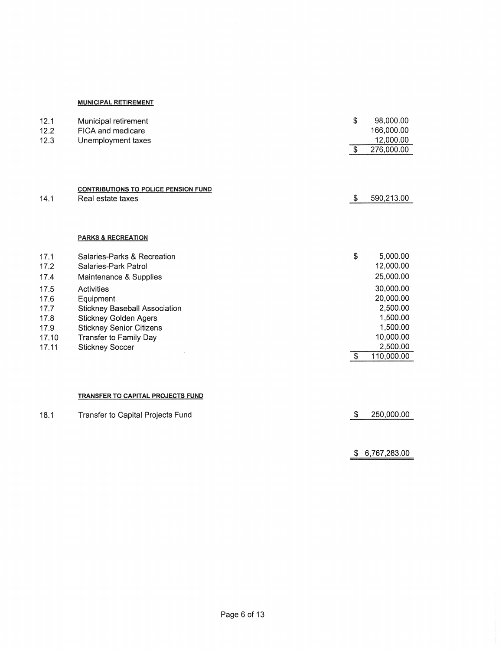### **MUNICIPAL RETIREMENT**

| 12.1<br>12.2 | Municipal retirement<br>FICA and medicare                        | \$                    | 98,000.00<br>166,000.00<br>12,000.00 |
|--------------|------------------------------------------------------------------|-----------------------|--------------------------------------|
| 12.3         | Unemployment taxes                                               | -\$                   | 276,000.00                           |
| 14.1         | <b>CONTRIBUTIONS TO POLICE PENSION FUND</b><br>Real estate taxes | \$                    | 590,213.00                           |
|              | <b>PARKS &amp; RECREATION</b>                                    |                       |                                      |
| 17.1         | Salaries-Parks & Recreation                                      | \$                    | 5,000.00                             |
| 17.2         | Salaries-Park Patrol                                             |                       | 12,000.00                            |
| 17.4         | Maintenance & Supplies                                           |                       | 25,000.00                            |
| 17.5         | Activities                                                       |                       | 30,000.00                            |
| 17.6         | Equipment                                                        |                       | 20,000.00                            |
| 17.7         | <b>Stickney Baseball Association</b>                             |                       | 2,500.00                             |
| 17.8         | <b>Stickney Golden Agers</b>                                     |                       | 1,500.00                             |
| 17.9         | <b>Stickney Senior Citizens</b>                                  |                       | 1,500.00                             |
| 17.10        | Transfer to Family Day                                           |                       | 10,000.00                            |
| 17.11        | <b>Stickney Soccer</b>                                           |                       | 2,500.00                             |
|              |                                                                  | $\boldsymbol{\theta}$ | 110,000.00                           |

### **TRANSFER TO CAPITAL PROJECTS FUND**

| 18.1 | Transfer to Capital Projects Fund | \$250,000.00 |
|------|-----------------------------------|--------------|
|      |                                   |              |

 $$6,767,283.00$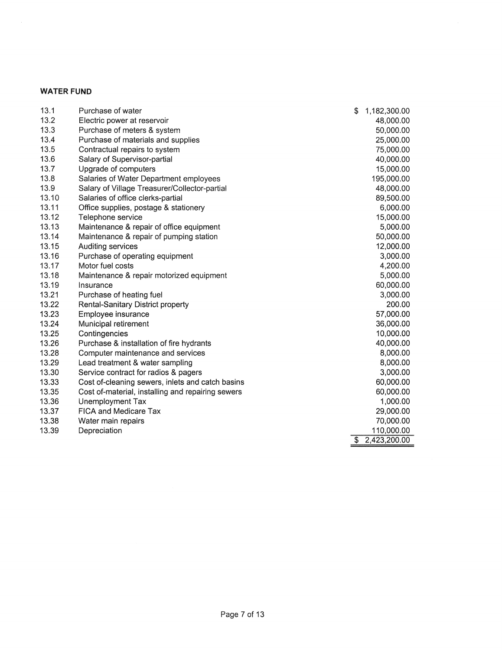## WATER FUND

| 13.1  | Purchase of water                                 | \$                      | 1,182,300.00 |
|-------|---------------------------------------------------|-------------------------|--------------|
| 13.2  | Electric power at reservoir                       |                         | 48,000.00    |
| 13.3  | Purchase of meters & system                       |                         | 50,000.00    |
| 13.4  | Purchase of materials and supplies                |                         | 25,000.00    |
| 13.5  | Contractual repairs to system                     |                         | 75,000.00    |
| 13.6  | Salary of Supervisor-partial                      |                         | 40,000.00    |
| 13.7  | Upgrade of computers                              |                         | 15,000.00    |
| 13.8  | Salaries of Water Department employees            |                         | 195,000.00   |
| 13.9  | Salary of Village Treasurer/Collector-partial     |                         | 48,000.00    |
| 13.10 | Salaries of office clerks-partial                 |                         | 89,500.00    |
| 13.11 | Office supplies, postage & stationery             |                         | 6,000.00     |
| 13.12 | Telephone service                                 |                         | 15,000.00    |
| 13.13 | Maintenance & repair of office equipment          |                         | 5,000.00     |
| 13.14 | Maintenance & repair of pumping station           |                         | 50,000.00    |
| 13.15 | Auditing services                                 |                         | 12,000.00    |
| 13.16 | Purchase of operating equipment                   |                         | 3,000.00     |
| 13.17 | Motor fuel costs                                  |                         | 4,200.00     |
| 13.18 | Maintenance & repair motorized equipment          |                         | 5,000.00     |
| 13.19 | Insurance                                         |                         | 60,000.00    |
| 13.21 | Purchase of heating fuel                          |                         | 3,000.00     |
| 13.22 | <b>Rental-Sanitary District property</b>          |                         | 200.00       |
| 13.23 | Employee insurance                                |                         | 57,000.00    |
| 13.24 | Municipal retirement                              |                         | 36,000.00    |
| 13.25 | Contingencies                                     |                         | 10,000.00    |
| 13.26 | Purchase & installation of fire hydrants          |                         | 40,000.00    |
| 13.28 | Computer maintenance and services                 |                         | 8,000.00     |
| 13.29 | Lead treatment & water sampling                   |                         | 8,000.00     |
| 13.30 | Service contract for radios & pagers              |                         | 3,000.00     |
| 13.33 | Cost of-cleaning sewers, inlets and catch basins  |                         | 60,000.00    |
| 13.35 | Cost of-material, installing and repairing sewers |                         | 60,000.00    |
| 13.36 | Unemployment Tax                                  |                         | 1,000.00     |
| 13.37 | <b>FICA and Medicare Tax</b>                      |                         | 29,000.00    |
| 13.38 | Water main repairs                                |                         | 70,000.00    |
| 13.39 | Depreciation                                      |                         | 110,000.00   |
|       |                                                   | $\overline{\mathbb{S}}$ | 2,423,200.00 |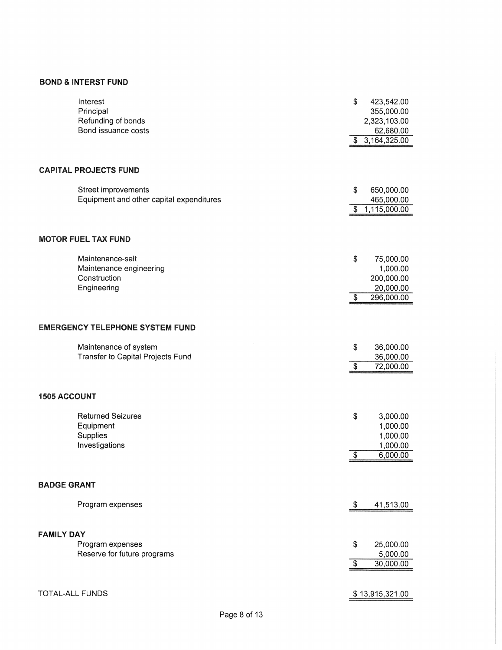# **BOND & INTERST FUND**

| 3,164,325.00<br>\$<br><b>CAPITAL PROJECTS FUND</b><br>\$<br>Street improvements<br>650,000.00<br>Equipment and other capital expenditures<br>465,000.00<br>1,115,000.00<br>$\boldsymbol{\mathsf{S}}$<br><b>MOTOR FUEL TAX FUND</b><br>\$<br>Maintenance-salt<br>75,000.00<br>Maintenance engineering<br>1,000.00<br>Construction<br>200,000.00<br>20,000.00<br>Engineering<br>$\overline{\$}$<br>296,000.00<br><b>EMERGENCY TELEPHONE SYSTEM FUND</b><br>\$<br>Maintenance of system<br>36,000.00<br>Transfer to Capital Projects Fund<br>36,000.00<br>$\overline{\mathcal{S}}$<br>72,000.00<br><b>1505 ACCOUNT</b><br><b>Returned Seizures</b><br>\$<br>3,000.00<br>1,000.00<br>Equipment<br>Supplies<br>1,000.00<br>Investigations<br>1,000.00<br>$\overline{\$}$<br>6,000.00<br><b>BADGE GRANT</b><br>Program expenses<br>\$<br>41,513.00<br><b>FAMILY DAY</b><br>\$<br>25,000.00<br>Program expenses<br>Reserve for future programs<br>5,000.00<br>$\overline{\$}$<br>30,000.00<br>TOTAL-ALL FUNDS | Interest<br>Principal<br>Refunding of bonds<br>Bond issuance costs | \$<br>423,542.00<br>355,000.00<br>2,323,103.00<br>62,680.00 |
|--------------------------------------------------------------------------------------------------------------------------------------------------------------------------------------------------------------------------------------------------------------------------------------------------------------------------------------------------------------------------------------------------------------------------------------------------------------------------------------------------------------------------------------------------------------------------------------------------------------------------------------------------------------------------------------------------------------------------------------------------------------------------------------------------------------------------------------------------------------------------------------------------------------------------------------------------------------------------------------------------------|--------------------------------------------------------------------|-------------------------------------------------------------|
|                                                                                                                                                                                                                                                                                                                                                                                                                                                                                                                                                                                                                                                                                                                                                                                                                                                                                                                                                                                                        |                                                                    |                                                             |
|                                                                                                                                                                                                                                                                                                                                                                                                                                                                                                                                                                                                                                                                                                                                                                                                                                                                                                                                                                                                        |                                                                    |                                                             |
|                                                                                                                                                                                                                                                                                                                                                                                                                                                                                                                                                                                                                                                                                                                                                                                                                                                                                                                                                                                                        |                                                                    |                                                             |
|                                                                                                                                                                                                                                                                                                                                                                                                                                                                                                                                                                                                                                                                                                                                                                                                                                                                                                                                                                                                        |                                                                    |                                                             |
|                                                                                                                                                                                                                                                                                                                                                                                                                                                                                                                                                                                                                                                                                                                                                                                                                                                                                                                                                                                                        |                                                                    |                                                             |
|                                                                                                                                                                                                                                                                                                                                                                                                                                                                                                                                                                                                                                                                                                                                                                                                                                                                                                                                                                                                        |                                                                    |                                                             |
|                                                                                                                                                                                                                                                                                                                                                                                                                                                                                                                                                                                                                                                                                                                                                                                                                                                                                                                                                                                                        |                                                                    |                                                             |
|                                                                                                                                                                                                                                                                                                                                                                                                                                                                                                                                                                                                                                                                                                                                                                                                                                                                                                                                                                                                        |                                                                    |                                                             |
|                                                                                                                                                                                                                                                                                                                                                                                                                                                                                                                                                                                                                                                                                                                                                                                                                                                                                                                                                                                                        |                                                                    |                                                             |
|                                                                                                                                                                                                                                                                                                                                                                                                                                                                                                                                                                                                                                                                                                                                                                                                                                                                                                                                                                                                        |                                                                    |                                                             |
|                                                                                                                                                                                                                                                                                                                                                                                                                                                                                                                                                                                                                                                                                                                                                                                                                                                                                                                                                                                                        |                                                                    |                                                             |
|                                                                                                                                                                                                                                                                                                                                                                                                                                                                                                                                                                                                                                                                                                                                                                                                                                                                                                                                                                                                        |                                                                    |                                                             |
|                                                                                                                                                                                                                                                                                                                                                                                                                                                                                                                                                                                                                                                                                                                                                                                                                                                                                                                                                                                                        |                                                                    |                                                             |
|                                                                                                                                                                                                                                                                                                                                                                                                                                                                                                                                                                                                                                                                                                                                                                                                                                                                                                                                                                                                        |                                                                    |                                                             |
|                                                                                                                                                                                                                                                                                                                                                                                                                                                                                                                                                                                                                                                                                                                                                                                                                                                                                                                                                                                                        |                                                                    |                                                             |
|                                                                                                                                                                                                                                                                                                                                                                                                                                                                                                                                                                                                                                                                                                                                                                                                                                                                                                                                                                                                        |                                                                    |                                                             |
|                                                                                                                                                                                                                                                                                                                                                                                                                                                                                                                                                                                                                                                                                                                                                                                                                                                                                                                                                                                                        |                                                                    |                                                             |
|                                                                                                                                                                                                                                                                                                                                                                                                                                                                                                                                                                                                                                                                                                                                                                                                                                                                                                                                                                                                        |                                                                    | \$13,915,321.00                                             |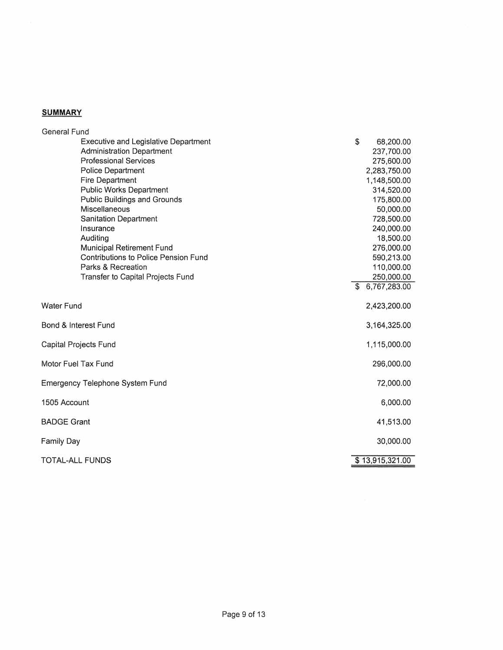## **SUMMARY**

| <b>General Fund</b>                         |                 |
|---------------------------------------------|-----------------|
| <b>Executive and Legislative Department</b> | \$<br>68,200.00 |
| <b>Administration Department</b>            | 237,700.00      |
| <b>Professional Services</b>                | 275,600.00      |
| Police Department                           | 2,283,750.00    |
| <b>Fire Department</b>                      | 1,148,500.00    |
| <b>Public Works Department</b>              | 314,520.00      |
| Public Buildings and Grounds                | 175,800.00      |
| <b>Miscellaneous</b>                        | 50,000.00       |
| <b>Sanitation Department</b>                | 728,500.00      |
| Insurance                                   | 240,000.00      |
| Auditing                                    | 18,500.00       |
| Municipal Retirement Fund                   | 276,000.00      |
| <b>Contributions to Police Pension Fund</b> | 590,213.00      |
| Parks & Recreation                          | 110,000.00      |
| Transfer to Capital Projects Fund           | 250,000.00      |
|                                             | \$6,767,283.00  |
|                                             |                 |
| Water Fund                                  | 2,423,200.00    |
| Bond & Interest Fund                        | 3,164,325.00    |
| Capital Projects Fund                       | 1,115,000.00    |
| Motor Fuel Tax Fund                         | 296,000.00      |
| <b>Emergency Telephone System Fund</b>      | 72,000.00       |
| 1505 Account                                | 6,000.00        |
| <b>BADGE Grant</b>                          | 41,513.00       |
| Family Day                                  | 30,000.00       |
| TOTAL-ALL FUNDS                             | \$13,915,321.00 |
|                                             |                 |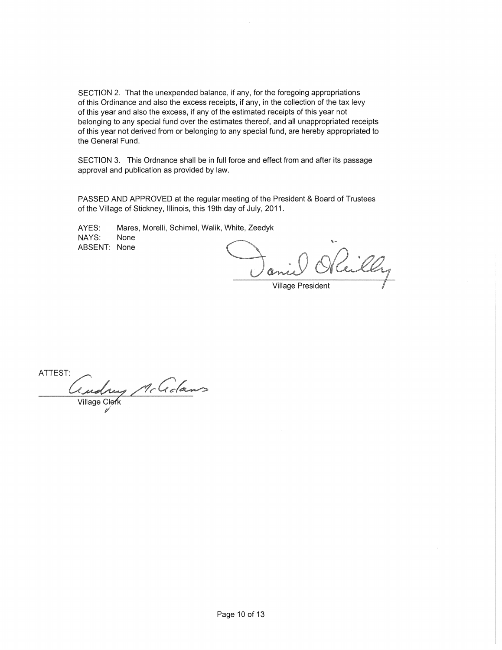SECTION 2. That the unexpended balance, if any, for the foregoing appropriations of this Ordinance and also the excess receipts, if any, in the collection of the tax levy of this year and also the excess, if any of the estimated receipts of this year not belonging to any special fund over the estimates thereof, and all unappropriated receipts of this year not derived from or belonging to any special fund, are hereby appropriated to the General Fund.

SECTION 3. This Ordnance shall be in full force and effect from and after its passage approval and publication as provided by law.

PASSED AND APPROVED at the regular meeting of the President & Board of Trustees of the Village of Stickney, Illinois, this 19th day of July, 2011.

AYES: Mares, Morelli, Schimel, Walik, White, Zeedyk NAYS: None ABSENT: None

Village President

ATTEST: udrug McGdans **Village Clerk**  $\mathscr{U}$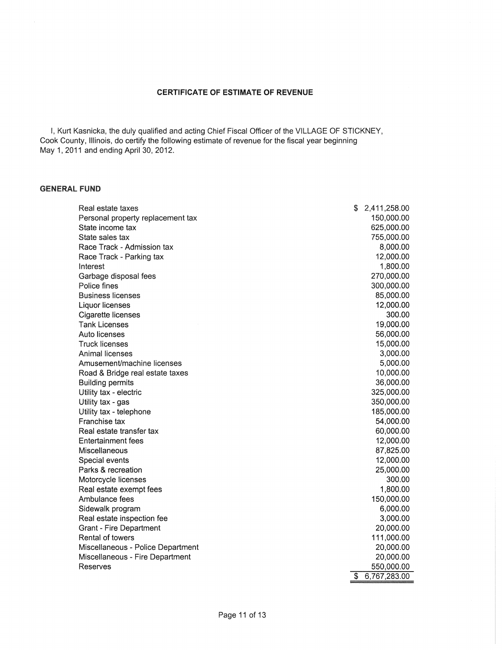#### **CERTIFICATE OF ESTIMATE OF REVENUE**

I, Kurt Kasnicka, the duly qualified and acting Chief Fiscal Officer of the VILLAGE OF STICKNEY, Cook County, Illinois, do certify the following estimate of revenue for the fiscal year beginning May 1,2011 and ending April 30, 2012.

### **GENERAL FUND**

| 150,000.00<br>Personal property replacement tax<br>State income tax<br>625,000.00<br>State sales tax<br>755,000.00<br>Race Track - Admission tax<br>8,000.00<br>12,000.00<br>Race Track - Parking tax<br>1,800.00<br>Interest<br>270,000.00<br>Garbage disposal fees<br>Police fines<br>300,000.00<br><b>Business licenses</b><br>85,000.00<br>12,000.00<br>Liquor licenses<br>300.00<br>Cigarette licenses<br><b>Tank Licenses</b><br>19,000.00<br>Auto licenses<br>56,000.00<br><b>Truck licenses</b><br>15,000.00<br>Animal licenses<br>3,000.00<br>5,000.00<br>Amusement/machine licenses<br>10,000.00<br>Road & Bridge real estate taxes<br>36,000.00<br><b>Building permits</b><br>325,000.00<br>Utility tax - electric<br>350,000.00<br>Utility tax - gas<br>185,000.00<br>Utility tax - telephone<br>Franchise tax<br>54,000.00<br>Real estate transfer tax<br>60,000.00<br>12,000.00<br><b>Entertainment fees</b><br>Miscellaneous<br>87,825.00<br>12,000.00<br>Special events<br>25,000.00<br>Parks & recreation<br>300.00<br>Motorcycle licenses<br>1,800.00<br>Real estate exempt fees<br>Ambulance fees<br>150,000.00<br>6,000.00<br>Sidewalk program<br>3,000.00<br>Real estate inspection fee<br>Grant - Fire Department<br>20,000.00<br>Rental of towers<br>111,000.00<br>Miscellaneous - Police Department<br>20,000.00<br>20,000.00<br>Miscellaneous - Fire Department<br>550,000.00<br>Reserves<br>\$<br>6,767,283.00 | Real estate taxes | S | 2,411,258.00 |
|------------------------------------------------------------------------------------------------------------------------------------------------------------------------------------------------------------------------------------------------------------------------------------------------------------------------------------------------------------------------------------------------------------------------------------------------------------------------------------------------------------------------------------------------------------------------------------------------------------------------------------------------------------------------------------------------------------------------------------------------------------------------------------------------------------------------------------------------------------------------------------------------------------------------------------------------------------------------------------------------------------------------------------------------------------------------------------------------------------------------------------------------------------------------------------------------------------------------------------------------------------------------------------------------------------------------------------------------------------------------------------------------------------------------------------------|-------------------|---|--------------|
|                                                                                                                                                                                                                                                                                                                                                                                                                                                                                                                                                                                                                                                                                                                                                                                                                                                                                                                                                                                                                                                                                                                                                                                                                                                                                                                                                                                                                                          |                   |   |              |
|                                                                                                                                                                                                                                                                                                                                                                                                                                                                                                                                                                                                                                                                                                                                                                                                                                                                                                                                                                                                                                                                                                                                                                                                                                                                                                                                                                                                                                          |                   |   |              |
|                                                                                                                                                                                                                                                                                                                                                                                                                                                                                                                                                                                                                                                                                                                                                                                                                                                                                                                                                                                                                                                                                                                                                                                                                                                                                                                                                                                                                                          |                   |   |              |
|                                                                                                                                                                                                                                                                                                                                                                                                                                                                                                                                                                                                                                                                                                                                                                                                                                                                                                                                                                                                                                                                                                                                                                                                                                                                                                                                                                                                                                          |                   |   |              |
|                                                                                                                                                                                                                                                                                                                                                                                                                                                                                                                                                                                                                                                                                                                                                                                                                                                                                                                                                                                                                                                                                                                                                                                                                                                                                                                                                                                                                                          |                   |   |              |
|                                                                                                                                                                                                                                                                                                                                                                                                                                                                                                                                                                                                                                                                                                                                                                                                                                                                                                                                                                                                                                                                                                                                                                                                                                                                                                                                                                                                                                          |                   |   |              |
|                                                                                                                                                                                                                                                                                                                                                                                                                                                                                                                                                                                                                                                                                                                                                                                                                                                                                                                                                                                                                                                                                                                                                                                                                                                                                                                                                                                                                                          |                   |   |              |
|                                                                                                                                                                                                                                                                                                                                                                                                                                                                                                                                                                                                                                                                                                                                                                                                                                                                                                                                                                                                                                                                                                                                                                                                                                                                                                                                                                                                                                          |                   |   |              |
|                                                                                                                                                                                                                                                                                                                                                                                                                                                                                                                                                                                                                                                                                                                                                                                                                                                                                                                                                                                                                                                                                                                                                                                                                                                                                                                                                                                                                                          |                   |   |              |
|                                                                                                                                                                                                                                                                                                                                                                                                                                                                                                                                                                                                                                                                                                                                                                                                                                                                                                                                                                                                                                                                                                                                                                                                                                                                                                                                                                                                                                          |                   |   |              |
|                                                                                                                                                                                                                                                                                                                                                                                                                                                                                                                                                                                                                                                                                                                                                                                                                                                                                                                                                                                                                                                                                                                                                                                                                                                                                                                                                                                                                                          |                   |   |              |
|                                                                                                                                                                                                                                                                                                                                                                                                                                                                                                                                                                                                                                                                                                                                                                                                                                                                                                                                                                                                                                                                                                                                                                                                                                                                                                                                                                                                                                          |                   |   |              |
|                                                                                                                                                                                                                                                                                                                                                                                                                                                                                                                                                                                                                                                                                                                                                                                                                                                                                                                                                                                                                                                                                                                                                                                                                                                                                                                                                                                                                                          |                   |   |              |
|                                                                                                                                                                                                                                                                                                                                                                                                                                                                                                                                                                                                                                                                                                                                                                                                                                                                                                                                                                                                                                                                                                                                                                                                                                                                                                                                                                                                                                          |                   |   |              |
|                                                                                                                                                                                                                                                                                                                                                                                                                                                                                                                                                                                                                                                                                                                                                                                                                                                                                                                                                                                                                                                                                                                                                                                                                                                                                                                                                                                                                                          |                   |   |              |
|                                                                                                                                                                                                                                                                                                                                                                                                                                                                                                                                                                                                                                                                                                                                                                                                                                                                                                                                                                                                                                                                                                                                                                                                                                                                                                                                                                                                                                          |                   |   |              |
|                                                                                                                                                                                                                                                                                                                                                                                                                                                                                                                                                                                                                                                                                                                                                                                                                                                                                                                                                                                                                                                                                                                                                                                                                                                                                                                                                                                                                                          |                   |   |              |
|                                                                                                                                                                                                                                                                                                                                                                                                                                                                                                                                                                                                                                                                                                                                                                                                                                                                                                                                                                                                                                                                                                                                                                                                                                                                                                                                                                                                                                          |                   |   |              |
|                                                                                                                                                                                                                                                                                                                                                                                                                                                                                                                                                                                                                                                                                                                                                                                                                                                                                                                                                                                                                                                                                                                                                                                                                                                                                                                                                                                                                                          |                   |   |              |
|                                                                                                                                                                                                                                                                                                                                                                                                                                                                                                                                                                                                                                                                                                                                                                                                                                                                                                                                                                                                                                                                                                                                                                                                                                                                                                                                                                                                                                          |                   |   |              |
|                                                                                                                                                                                                                                                                                                                                                                                                                                                                                                                                                                                                                                                                                                                                                                                                                                                                                                                                                                                                                                                                                                                                                                                                                                                                                                                                                                                                                                          |                   |   |              |
|                                                                                                                                                                                                                                                                                                                                                                                                                                                                                                                                                                                                                                                                                                                                                                                                                                                                                                                                                                                                                                                                                                                                                                                                                                                                                                                                                                                                                                          |                   |   |              |
|                                                                                                                                                                                                                                                                                                                                                                                                                                                                                                                                                                                                                                                                                                                                                                                                                                                                                                                                                                                                                                                                                                                                                                                                                                                                                                                                                                                                                                          |                   |   |              |
|                                                                                                                                                                                                                                                                                                                                                                                                                                                                                                                                                                                                                                                                                                                                                                                                                                                                                                                                                                                                                                                                                                                                                                                                                                                                                                                                                                                                                                          |                   |   |              |
|                                                                                                                                                                                                                                                                                                                                                                                                                                                                                                                                                                                                                                                                                                                                                                                                                                                                                                                                                                                                                                                                                                                                                                                                                                                                                                                                                                                                                                          |                   |   |              |
|                                                                                                                                                                                                                                                                                                                                                                                                                                                                                                                                                                                                                                                                                                                                                                                                                                                                                                                                                                                                                                                                                                                                                                                                                                                                                                                                                                                                                                          |                   |   |              |
|                                                                                                                                                                                                                                                                                                                                                                                                                                                                                                                                                                                                                                                                                                                                                                                                                                                                                                                                                                                                                                                                                                                                                                                                                                                                                                                                                                                                                                          |                   |   |              |
|                                                                                                                                                                                                                                                                                                                                                                                                                                                                                                                                                                                                                                                                                                                                                                                                                                                                                                                                                                                                                                                                                                                                                                                                                                                                                                                                                                                                                                          |                   |   |              |
|                                                                                                                                                                                                                                                                                                                                                                                                                                                                                                                                                                                                                                                                                                                                                                                                                                                                                                                                                                                                                                                                                                                                                                                                                                                                                                                                                                                                                                          |                   |   |              |
|                                                                                                                                                                                                                                                                                                                                                                                                                                                                                                                                                                                                                                                                                                                                                                                                                                                                                                                                                                                                                                                                                                                                                                                                                                                                                                                                                                                                                                          |                   |   |              |
|                                                                                                                                                                                                                                                                                                                                                                                                                                                                                                                                                                                                                                                                                                                                                                                                                                                                                                                                                                                                                                                                                                                                                                                                                                                                                                                                                                                                                                          |                   |   |              |
|                                                                                                                                                                                                                                                                                                                                                                                                                                                                                                                                                                                                                                                                                                                                                                                                                                                                                                                                                                                                                                                                                                                                                                                                                                                                                                                                                                                                                                          |                   |   |              |
|                                                                                                                                                                                                                                                                                                                                                                                                                                                                                                                                                                                                                                                                                                                                                                                                                                                                                                                                                                                                                                                                                                                                                                                                                                                                                                                                                                                                                                          |                   |   |              |
|                                                                                                                                                                                                                                                                                                                                                                                                                                                                                                                                                                                                                                                                                                                                                                                                                                                                                                                                                                                                                                                                                                                                                                                                                                                                                                                                                                                                                                          |                   |   |              |
|                                                                                                                                                                                                                                                                                                                                                                                                                                                                                                                                                                                                                                                                                                                                                                                                                                                                                                                                                                                                                                                                                                                                                                                                                                                                                                                                                                                                                                          |                   |   |              |
|                                                                                                                                                                                                                                                                                                                                                                                                                                                                                                                                                                                                                                                                                                                                                                                                                                                                                                                                                                                                                                                                                                                                                                                                                                                                                                                                                                                                                                          |                   |   |              |
|                                                                                                                                                                                                                                                                                                                                                                                                                                                                                                                                                                                                                                                                                                                                                                                                                                                                                                                                                                                                                                                                                                                                                                                                                                                                                                                                                                                                                                          |                   |   |              |
|                                                                                                                                                                                                                                                                                                                                                                                                                                                                                                                                                                                                                                                                                                                                                                                                                                                                                                                                                                                                                                                                                                                                                                                                                                                                                                                                                                                                                                          |                   |   |              |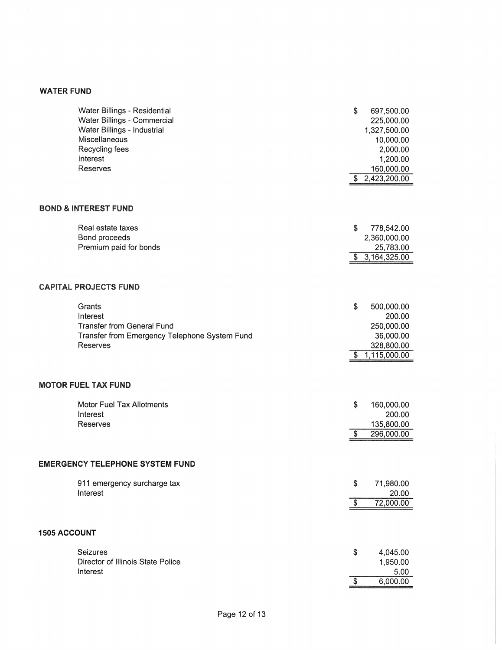# WATER FUND

| Water Billings - Residential<br>Water Billings - Commercial<br>Water Billings - Industrial<br>Miscellaneous<br>Recycling fees<br>Interest<br>Reserves | \$       | 697,500.00<br>225,000.00<br>1,327,500.00<br>10,000.00<br>2,000.00<br>1,200.00<br>160,000.00 |
|-------------------------------------------------------------------------------------------------------------------------------------------------------|----------|---------------------------------------------------------------------------------------------|
|                                                                                                                                                       | S.       | 2,423,200.00                                                                                |
| <b>BOND &amp; INTEREST FUND</b>                                                                                                                       |          |                                                                                             |
| Real estate taxes<br>Bond proceeds<br>Premium paid for bonds                                                                                          | \$       | 778,542.00<br>2,360,000.00<br>25,783.00<br>\$3,164,325.00                                   |
| <b>CAPITAL PROJECTS FUND</b>                                                                                                                          |          |                                                                                             |
| Grants<br>Interest<br><b>Transfer from General Fund</b><br>Transfer from Emergency Telephone System Fund<br>Reserves                                  | \$<br>\$ | 500,000.00<br>200.00<br>250,000.00<br>36,000.00<br>328,800.00<br>1,115,000.00               |
| <b>MOTOR FUEL TAX FUND</b>                                                                                                                            |          |                                                                                             |
| <b>Motor Fuel Tax Allotments</b><br>Interest<br>Reserves                                                                                              | \$<br>S. | 160,000.00<br>200.00<br>135,800.00<br>296,000.00                                            |
| <b>EMERGENCY TELEPHONE SYSTEM FUND</b>                                                                                                                |          |                                                                                             |
| 911 emergency surcharge tax<br>Interest                                                                                                               | \$<br>\$ | 71,980.00<br>20.00<br>72,000.00                                                             |
|                                                                                                                                                       |          |                                                                                             |
| <b>1505 ACCOUNT</b>                                                                                                                                   |          |                                                                                             |
| Seizures<br>Director of Illinois State Police<br>Interest                                                                                             | \$       | 4,045.00<br>1,950.00<br>5.00                                                                |
|                                                                                                                                                       | \$       | 6,000.00                                                                                    |